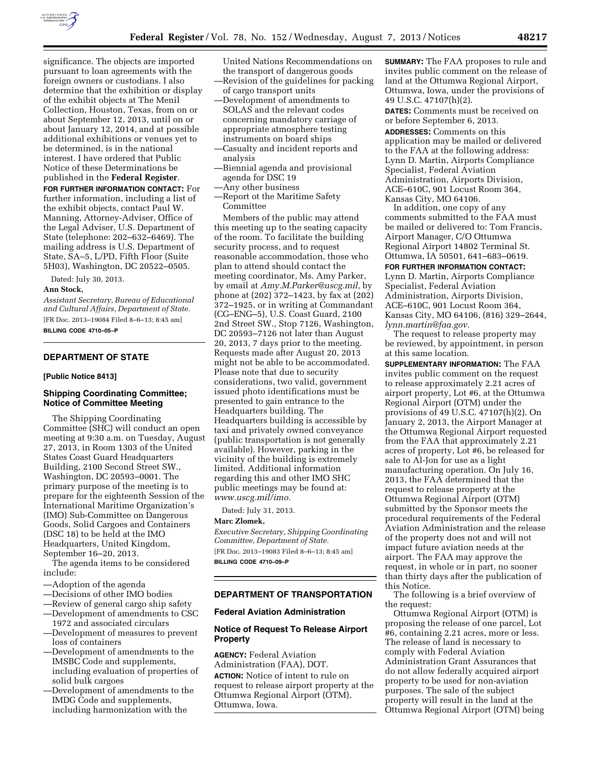

significance. The objects are imported pursuant to loan agreements with the foreign owners or custodians. I also determine that the exhibition or display of the exhibit objects at The Menil Collection, Houston, Texas, from on or about September 12, 2013, until on or about January 12, 2014, and at possible additional exhibitions or venues yet to be determined, is in the national interest. I have ordered that Public Notice of these Determinations be published in the **Federal Register**.

**FOR FURTHER INFORMATION CONTACT:** For further information, including a list of the exhibit objects, contact Paul W. Manning, Attorney-Adviser, Office of the Legal Adviser, U.S. Department of State (telephone: 202–632–6469). The mailing address is U.S. Department of State, SA–5, L/PD, Fifth Floor (Suite 5H03), Washington, DC 20522–0505.

Dated: July 30, 2013.

### **Ann Stock,**

*Assistant Secretary, Bureau of Educational and Cultural Affairs, Department of State.*  [FR Doc. 2013–19084 Filed 8–6–13; 8:45 am] **BILLING CODE 4710–05–P** 

# **DEPARTMENT OF STATE**

### **[Public Notice 8413]**

### **Shipping Coordinating Committee; Notice of Committee Meeting**

The Shipping Coordinating Committee (SHC) will conduct an open meeting at 9:30 a.m. on Tuesday, August 27, 2013, in Room 1303 of the United States Coast Guard Headquarters Building, 2100 Second Street SW., Washington, DC 20593–0001. The primary purpose of the meeting is to prepare for the eighteenth Session of the International Maritime Organization's (IMO) Sub-Committee on Dangerous Goods, Solid Cargoes and Containers (DSC 18) to be held at the IMO Headquarters, United Kingdom, September 16–20, 2013.

The agenda items to be considered include:

- —Adoption of the agenda
- —Decisions of other IMO bodies
- —Review of general cargo ship safety
- —Development of amendments to CSC 1972 and associated circulars
- —Development of measures to prevent loss of containers
- —Development of amendments to the IMSBC Code and supplements, including evaluation of properties of solid bulk cargoes
- —Development of amendments to the IMDG Code and supplements, including harmonization with the

United Nations Recommendations on the transport of dangerous goods —Revision of the guidelines for packing

- of cargo transport units
- —Development of amendments to SOLAS and the relevant codes concerning mandatory carriage of appropriate atmosphere testing instruments on board ships
- —Casualty and incident reports and analysis
- —Biennial agenda and provisional agenda for DSC 19
- —Any other business
- —Report ot the Maritime Safety Committee

Members of the public may attend this meeting up to the seating capacity of the room. To facilitate the building security process, and to request reasonable accommodation, those who plan to attend should contact the meeting coordinator, Ms. Amy Parker, by email at *Amy.M.Parker@uscg.mil,* by phone at (202) 372–1423, by fax at (202) 372–1925, or in writing at Commandant (CG–ENG–5), U.S. Coast Guard, 2100 2nd Street SW., Stop 7126, Washington, DC 20593–7126 not later than August 20, 2013, 7 days prior to the meeting. Requests made after August 20, 2013 might not be able to be accommodated. Please note that due to security considerations, two valid, government issued photo identifications must be presented to gain entrance to the Headquarters building. The Headquarters building is accessible by taxi and privately owned conveyance (public transportation is not generally available). However, parking in the vicinity of the building is extremely limited. Additional information regarding this and other IMO SHC public meetings may be found at: *www.uscg.mil/imo.* 

Dated: July 31, 2013.

### **Marc Zlomek,**

*Executive Secretary, Shipping Coordinating Committee, Department of State.*  [FR Doc. 2013–19083 Filed 8–6–13; 8:45 am] **BILLING CODE 4710–09–P** 

# **DEPARTMENT OF TRANSPORTATION**

### **Federal Aviation Administration**

# **Notice of Request To Release Airport Property**

**AGENCY:** Federal Aviation Administration (FAA), DOT.

**ACTION:** Notice of intent to rule on request to release airport property at the Ottumwa Regional Airport (OTM), Ottumwa, Iowa.

**SUMMARY:** The FAA proposes to rule and invites public comment on the release of land at the Ottumwa Regional Airport, Ottumwa, Iowa, under the provisions of 49 U.S.C. 47107(h)(2).

**DATES:** Comments must be received on or before September 6, 2013.

**ADDRESSES:** Comments on this application may be mailed or delivered to the FAA at the following address: Lynn D. Martin, Airports Compliance Specialist, Federal Aviation Administration, Airports Division, ACE–610C, 901 Locust Room 364, Kansas City, MO 64106.

In addition, one copy of any comments submitted to the FAA must be mailed or delivered to: Tom Francis, Airport Manager, C/O Ottumwa Regional Airport 14802 Terminal St. Ottumwa, IA 50501, 641–683–0619.

#### **FOR FURTHER INFORMATION CONTACT:**

Lynn D. Martin, Airports Compliance Specialist, Federal Aviation Administration, Airports Division, ACE–610C, 901 Locust Room 364, Kansas City, MO 64106, (816) 329–2644, *lynn.martin@faa.gov.* 

The request to release property may be reviewed, by appointment, in person at this same location.

**SUPPLEMENTARY INFORMATION:** The FAA invites public comment on the request to release approximately 2.21 acres of airport property, Lot #6, at the Ottumwa Regional Airport (OTM) under the provisions of 49 U.S.C. 47107(h)(2). On January 2, 2013, the Airport Manager at the Ottumwa Regional Airport requested from the FAA that approximately 2.21 acres of property, Lot #6, be released for sale to Al-Jon for use as a light manufacturing operation. On July 16, 2013, the FAA determined that the request to release property at the Ottumwa Regional Airport (OTM) submitted by the Sponsor meets the procedural requirements of the Federal Aviation Administration and the release of the property does not and will not impact future aviation needs at the airport. The FAA may approve the request, in whole or in part, no sooner than thirty days after the publication of this Notice.

The following is a brief overview of the request:

Ottumwa Regional Airport (OTM) is proposing the release of one parcel, Lot #6, containing 2.21 acres, more or less. The release of land is necessary to comply with Federal Aviation Administration Grant Assurances that do not allow federally acquired airport property to be used for non-aviation purposes. The sale of the subject property will result in the land at the Ottumwa Regional Airport (OTM) being